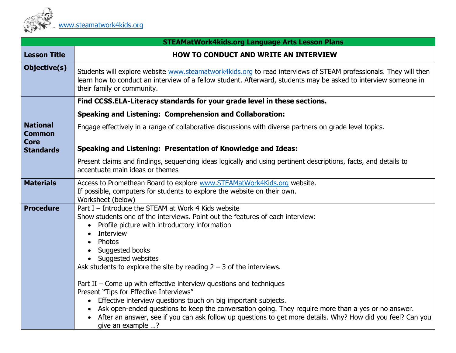

| <b>STEAMatWork4kids.org Language Arts Lesson Plans</b> |                                                                                                                                                                                                                                                                                                                                                                                                                             |  |
|--------------------------------------------------------|-----------------------------------------------------------------------------------------------------------------------------------------------------------------------------------------------------------------------------------------------------------------------------------------------------------------------------------------------------------------------------------------------------------------------------|--|
| <b>Lesson Title</b>                                    | <b>HOW TO CONDUCT AND WRITE AN INTERVIEW</b>                                                                                                                                                                                                                                                                                                                                                                                |  |
| Objective(s)                                           | Students will explore website www.steamatwork4kids.org to read interviews of STEAM professionals. They will then<br>learn how to conduct an interview of a fellow student. Afterward, students may be asked to interview someone in<br>their family or community.                                                                                                                                                           |  |
|                                                        | Find CCSS.ELA-Literacy standards for your grade level in these sections.                                                                                                                                                                                                                                                                                                                                                    |  |
|                                                        | <b>Speaking and Listening: Comprehension and Collaboration:</b>                                                                                                                                                                                                                                                                                                                                                             |  |
| <b>National</b><br><b>Common</b><br><b>Core</b>        | Engage effectively in a range of collaborative discussions with diverse partners on grade level topics.                                                                                                                                                                                                                                                                                                                     |  |
| <b>Standards</b>                                       | Speaking and Listening: Presentation of Knowledge and Ideas:                                                                                                                                                                                                                                                                                                                                                                |  |
|                                                        | Present claims and findings, sequencing ideas logically and using pertinent descriptions, facts, and details to<br>accentuate main ideas or themes                                                                                                                                                                                                                                                                          |  |
| <b>Materials</b>                                       | Access to Promethean Board to explore www.STEAMatWork4Kids.org website.<br>If possible, computers for students to explore the website on their own.<br>Worksheet (below)                                                                                                                                                                                                                                                    |  |
| <b>Procedure</b>                                       | Part I - Introduce the STEAM at Work 4 Kids website<br>Show students one of the interviews. Point out the features of each interview:<br>Profile picture with introductory information<br>$\bullet$<br>Interview<br>Photos<br>Suggested books<br>Suggested websites<br>$\bullet$<br>Ask students to explore the site by reading $2 - 3$ of the interviews.                                                                  |  |
|                                                        | Part II – Come up with effective interview questions and techniques<br>Present "Tips for Effective Interviews"<br>Effective interview questions touch on big important subjects.<br>Ask open-ended questions to keep the conversation going. They require more than a yes or no answer.<br>After an answer, see if you can ask follow up questions to get more details. Why? How did you feel? Can you<br>give an example ? |  |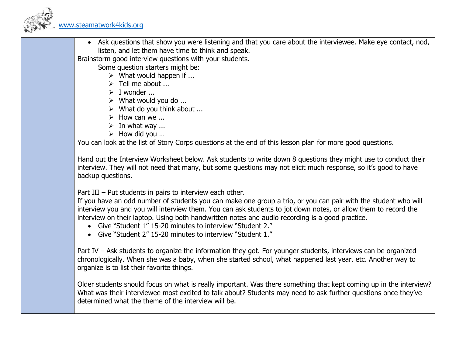

• Ask questions that show you were listening and that you care about the interviewee. Make eye contact, nod, listen, and let them have time to think and speak.

Brainstorm good interview questions with your students.

Some question starters might be:

- $\triangleright$  What would happen if ...
- $\triangleright$  Tell me about ...
- $\triangleright$  I wonder ...
- $\triangleright$  What would you do ...
- $\triangleright$  What do you think about ...
- $\triangleright$  How can we ...
- $\triangleright$  In what way ...
- $\triangleright$  How did you ...

You can look at the list of Story Corps questions at the end of this lesson plan for more good questions.

Hand out the Interview Worksheet below. Ask students to write down 8 questions they might use to conduct their interview. They will not need that many, but some questions may not elicit much response, so it's good to have backup questions.

Part III – Put students in pairs to interview each other.

If you have an odd number of students you can make one group a trio, or you can pair with the student who will interview you and you will interview them. You can ask students to jot down notes, or allow them to record the interview on their laptop. Using both handwritten notes and audio recording is a good practice.

- Give "Student 1" 15-20 minutes to interview "Student 2."
- Give "Student 2" 15-20 minutes to interview "Student 1."

Part IV – Ask students to organize the information they got. For younger students, interviews can be organized chronologically. When she was a baby, when she started school, what happened last year, etc. Another way to organize is to list their favorite things.

Older students should focus on what is really important. Was there something that kept coming up in the interview? What was their interviewee most excited to talk about? Students may need to ask further questions once they've determined what the theme of the interview will be.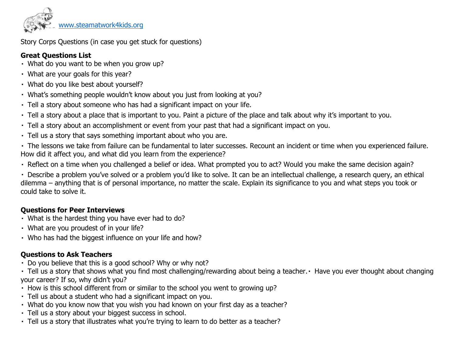

[www.steamatwork4kids.org](http://www.steamatwork4kids.org/)

Story Corps Questions (in case you get stuck for questions)

### **Great Questions List**

- What do you want to be when you grow up?
- What are your goals for this year?
- What do you like best about yourself?
- What's something people wouldn't know about you just from looking at you?
- Tell a story about someone who has had a significant impact on your life.
- Tell a story about a place that is important to you. Paint a picture of the place and talk about why it's important to you.
- Tell a story about an accomplishment or event from your past that had a significant impact on you.
- Tell us a story that says something important about who you are.

The lessons we take from failure can be fundamental to later successes. Recount an incident or time when you experienced failure. How did it affect you, and what did you learn from the experience?

Reflect on a time when you challenged a belief or idea. What prompted you to act? Would you make the same decision again?

Describe a problem you've solved or a problem you'd like to solve. It can be an intellectual challenge, a research query, an ethical dilemma – anything that is of personal importance, no matter the scale. Explain its significance to you and what steps you took or could take to solve it.

#### **Questions for Peer Interviews**

- What is the hardest thing you have ever had to do?
- What are you proudest of in your life?
- Who has had the biggest influence on your life and how?

## **Questions to Ask Teachers**

- Do you believe that this is a good school? Why or why not?
- Tell us a story that shows what you find most challenging/rewarding about being a teacher. Have you ever thought about changing your career? If so, why didn't you?
- How is this school different from or similar to the school you went to growing up?
- Tell us about a student who had a significant impact on you.
- What do you know now that you wish you had known on your first day as a teacher?
- Tell us a story about your biggest success in school.
- Tell us a story that illustrates what you're trying to learn to do better as a teacher?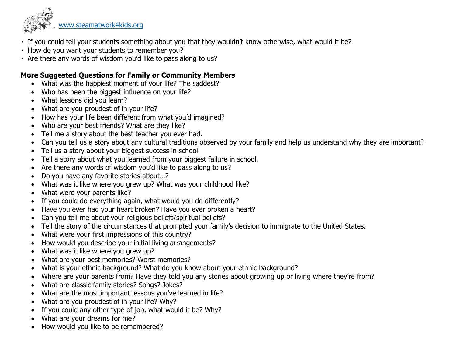

[www.steamatwork4kids.org](http://www.steamatwork4kids.org/)

- If you could tell your students something about you that they wouldn't know otherwise, what would it be?
- $\cdot$  How do you want your students to remember you?
- Are there any words of wisdom you'd like to pass along to us?

#### **More Suggested Questions for Family or Community Members**

- What was the happiest moment of your life? The saddest?
- Who has been the biggest influence on your life?
- What lessons did you learn?
- What are you proudest of in your life?
- How has your life been different from what you'd imagined?
- Who are your best friends? What are they like?
- Tell me a story about the best teacher you ever had.
- Can you tell us a story about any cultural traditions observed by your family and help us understand why they are important?
- Tell us a story about your biggest success in school.
- Tell a story about what you learned from your biggest failure in school.
- Are there any words of wisdom you'd like to pass along to us?
- Do you have any favorite stories about…?
- What was it like where you grew up? What was your childhood like?
- What were your parents like?
- If you could do everything again, what would you do differently?
- Have you ever had your heart broken? Have you ever broken a heart?
- Can you tell me about your religious beliefs/spiritual beliefs?
- Tell the story of the circumstances that prompted your family's decision to immigrate to the United States.
- What were your first impressions of this country?
- How would you describe your initial living arrangements?
- What was it like where you grew up?
- What are your best memories? Worst memories?
- What is your ethnic background? What do you know about your ethnic background?
- Where are your parents from? Have they told you any stories about growing up or living where they're from?
- What are classic family stories? Songs? Jokes?
- What are the most important lessons you've learned in life?
- What are you proudest of in your life? Why?
- If you could any other type of job, what would it be? Why?
- What are your dreams for me?
- How would you like to be remembered?